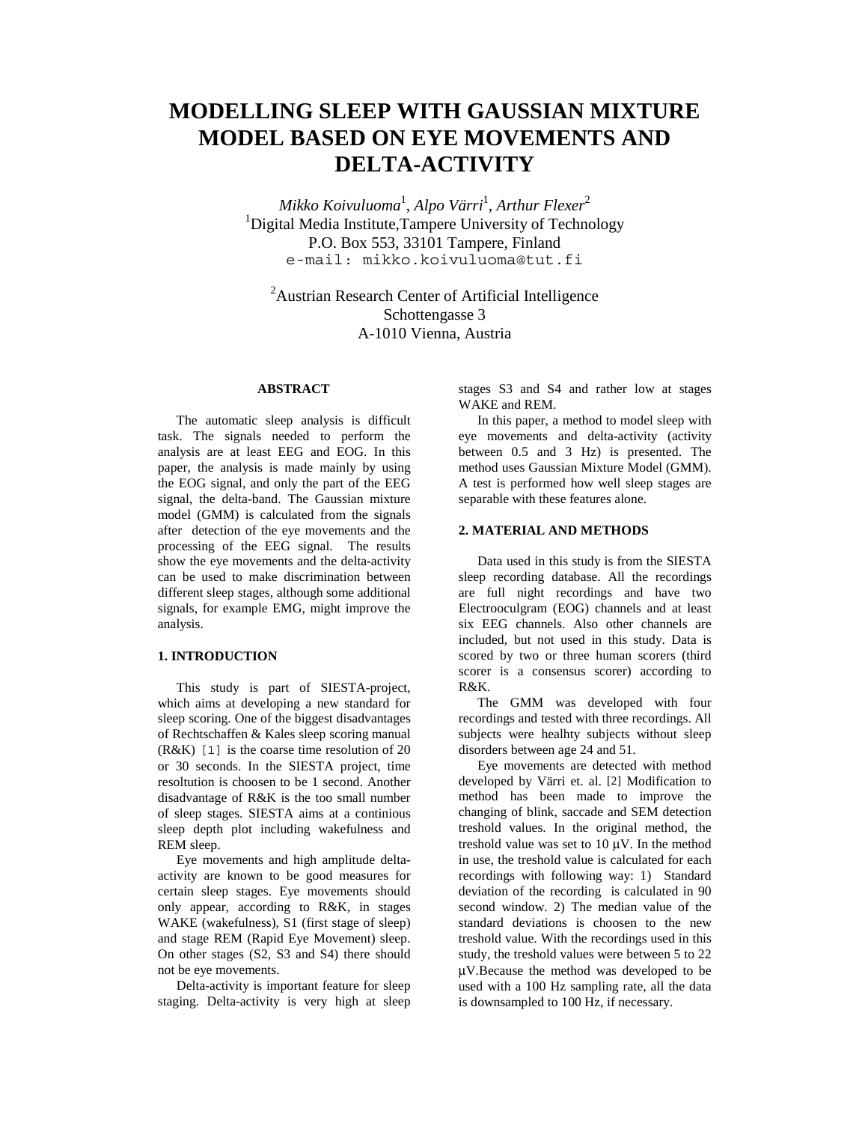# **MODELLING SLEEP WITH GAUSSIAN MIXTURE MODEL BASED ON EYE MOVEMENTS AND DELTA-ACTIVITY**

*Mikko Koivuluoma*<sup>1</sup> , *Alpo Värri*<sup>1</sup> , *Arthur Flexer*<sup>2</sup> <sup>1</sup>Digital Media Institute, Tampere University of Technology P.O. Box 553, 33101 Tampere, Finland e-mail: mikko.koivuluoma@tut.fi

<sup>2</sup> Austrian Research Center of Artificial Intelligence Schottengasse 3 A-1010 Vienna, Austria

# **ABSTRACT**

The automatic sleep analysis is difficult task. The signals needed to perform the analysis are at least EEG and EOG. In this paper, the analysis is made mainly by using the EOG signal, and only the part of the EEG signal, the delta-band. The Gaussian mixture model (GMM) is calculated from the signals after detection of the eye movements and the processing of the EEG signal. The results show the eye movements and the delta-activity can be used to make discrimination between different sleep stages, although some additional signals, for example EMG, might improve the analysis.

# **1. INTRODUCTION**

This study is part of SIESTA-project, which aims at developing a new standard for sleep scoring. One of the biggest disadvantages of Rechtschaffen & Kales sleep scoring manual (R&K) [1] is the coarse time resolution of 20 or 30 seconds. In the SIESTA project, time resoltution is choosen to be 1 second. Another disadvantage of R&K is the too small number of sleep stages. SIESTA aims at a continious sleep depth plot including wakefulness and REM sleep.

Eye movements and high amplitude deltaactivity are known to be good measures for certain sleep stages. Eye movements should only appear, according to R&K, in stages WAKE (wakefulness), S1 (first stage of sleep) and stage REM (Rapid Eye Movement) sleep. On other stages (S2, S3 and S4) there should not be eye movements.

Delta-activity is important feature for sleep staging. Delta-activity is very high at sleep stages S3 and S4 and rather low at stages WAKE and REM.

In this paper, a method to model sleep with eye movements and delta-activity (activity between 0.5 and 3 Hz) is presented. The method uses Gaussian Mixture Model (GMM). A test is performed how well sleep stages are separable with these features alone.

# **2. MATERIAL AND METHODS**

Data used in this study is from the SIESTA sleep recording database. All the recordings are full night recordings and have two Electrooculgram (EOG) channels and at least six EEG channels. Also other channels are included, but not used in this study. Data is scored by two or three human scorers (third scorer is a consensus scorer) according to R&K.

The GMM was developed with four recordings and tested with three recordings. All subjects were healhty subjects without sleep disorders between age 24 and 51.

Eye movements are detected with method developed by Värri et. al. [2] Modification to method has been made to improve the changing of blink, saccade and SEM detection treshold values. In the original method, the treshold value was set to 10 µV. In the method in use, the treshold value is calculated for each recordings with following way: 1) Standard deviation of the recording is calculated in 90 second window. 2) The median value of the standard deviations is choosen to the new treshold value. With the recordings used in this study, the treshold values were between 5 to 22 µV.Because the method was developed to be used with a 100 Hz sampling rate, all the data is downsampled to 100 Hz, if necessary.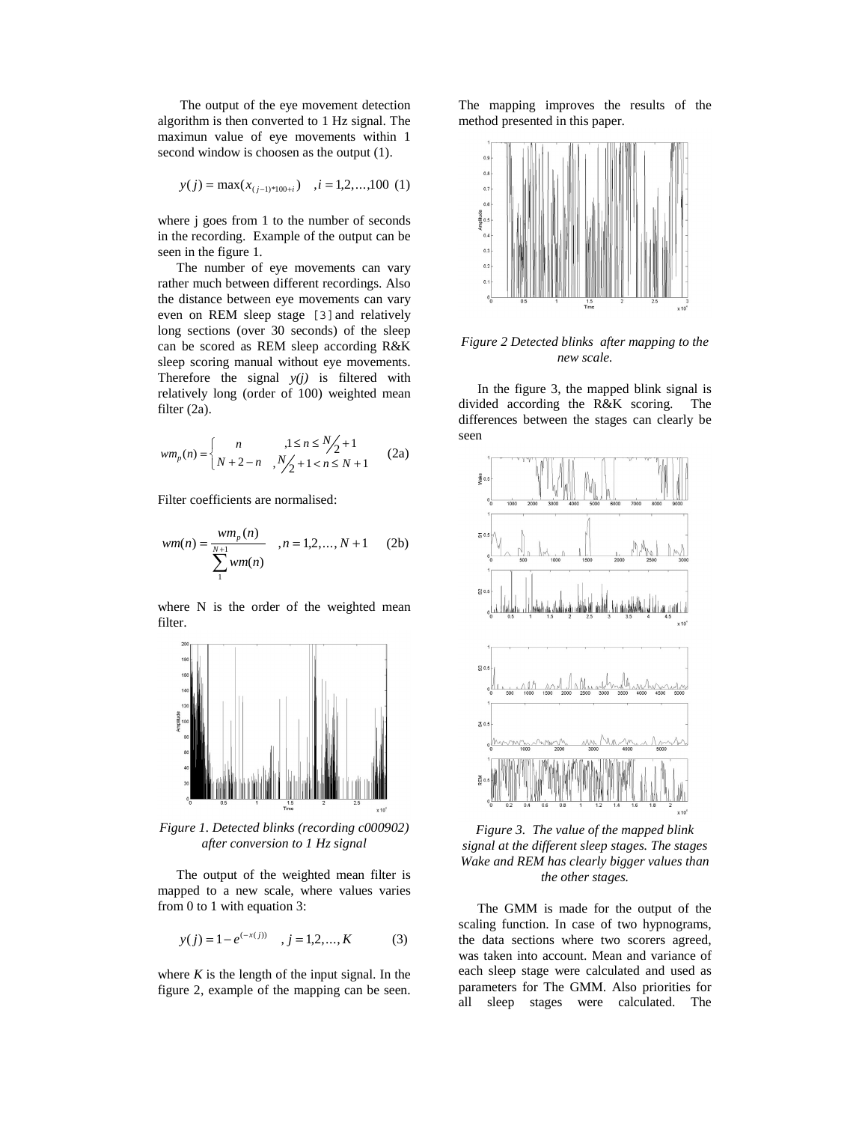The output of the eye movement detection algorithm is then converted to 1 Hz signal. The maximun value of eye movements within 1 second window is choosen as the output (1).

$$
y(j) = \max(x_{(j-1)*100+i}), i = 1,2,...,100
$$
 (1)

where j goes from 1 to the number of seconds in the recording. Example of the output can be seen in the figure 1.

The number of eye movements can vary rather much between different recordings. Also the distance between eye movements can vary even on REM sleep stage [3]and relatively long sections (over 30 seconds) of the sleep can be scored as REM sleep according R&K sleep scoring manual without eye movements. Therefore the signal *y(j)* is filtered with relatively long (order of 100) weighted mean filter (2a).

$$
wm_p(n) = \begin{cases} n & , 1 \le n \le \frac{N}{2} + 1 \\ N + 2 - n & , \frac{N}{2} + 1 < n \le N + 1 \end{cases} \tag{2a}
$$

Filter coefficients are normalised:

$$
wm(n) = \frac{wm_p(n)}{\sum_{1}^{N+1} w m(n)}, n = 1, 2, ..., N+1
$$
 (2b)

where N is the order of the weighted mean filter.



*Figure 1. Detected blinks (recording c000902) after conversion to 1 Hz signal*

The output of the weighted mean filter is mapped to a new scale, where values varies from 0 to 1 with equation 3:

$$
y(j) = 1 - e^{(-x(j))}
$$
,  $j = 1, 2, ..., K$  (3)

where  $K$  is the length of the input signal. In the figure 2, example of the mapping can be seen. The mapping improves the results of the method presented in this paper.



*Figure 2 Detected blinks after mapping to the new scale.*

In the figure 3, the mapped blink signal is divided according the R&K scoring. The differences between the stages can clearly be seen



*Figure 3. The value of the mapped blink signal at the different sleep stages. The stages Wake and REM has clearly bigger values than the other stages.*

The GMM is made for the output of the scaling function. In case of two hypnograms, the data sections where two scorers agreed, was taken into account. Mean and variance of each sleep stage were calculated and used as parameters for The GMM. Also priorities for all sleep stages were calculated. The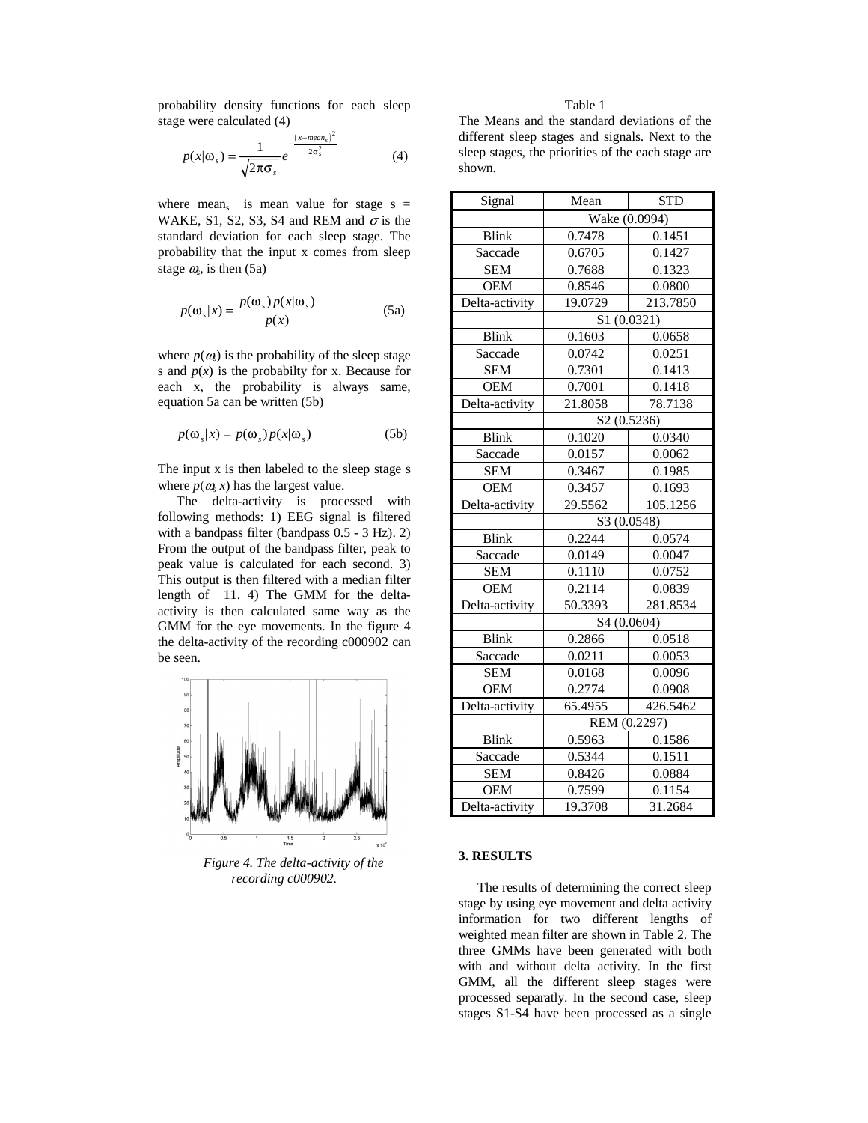probability density functions for each sleep stage were calculated (4)

$$
p(x|\omega_s) = \frac{1}{\sqrt{2\pi\sigma_s}} e^{-\frac{(x - \text{mean}_s)^2}{2\sigma_s^2}}
$$
(4)

where mean<sub>s</sub> is mean value for stage  $s =$ WAKE, S1, S2, S3, S4 and REM and  $\sigma$  is the standard deviation for each sleep stage. The probability that the input x comes from sleep stage  $\omega$ , is then (5a)

$$
p(\omega_s|x) = \frac{p(\omega_s)p(x|\omega_s)}{p(x)}
$$
 (5a)

where  $p(\omega)$  is the probability of the sleep stage s and  $p(x)$  is the probabilty for x. Because for each x, the probability is always same, equation 5a can be written (5b)

$$
p(\omega_s|x) = p(\omega_s)p(x|\omega_s)
$$
 (5b)

The input x is then labeled to the sleep stage s where  $p(\omega_k|x)$  has the largest value.

The delta-activity is processed with following methods: 1) EEG signal is filtered with a bandpass filter (bandpass 0.5 - 3 Hz). 2) From the output of the bandpass filter, peak to peak value is calculated for each second. 3) This output is then filtered with a median filter length of 11. 4) The GMM for the deltaactivity is then calculated same way as the GMM for the eye movements. In the figure 4 the delta-activity of the recording c000902 can be seen.



*Figure 4. The delta-activity of the recording c000902.*

## Table 1

The Means and the standard deviations of the different sleep stages and signals. Next to the sleep stages, the priorities of the each stage are shown.

| Signal         | Mean          | <b>STD</b> |
|----------------|---------------|------------|
|                | Wake (0.0994) |            |
| <b>Blink</b>   | 0.7478        | 0.1451     |
| Saccade        | 0.6705        | 0.1427     |
| <b>SEM</b>     | 0.7688        | 0.1323     |
| <b>OEM</b>     | 0.8546        | 0.0800     |
| Delta-activity | 19.0729       | 213.7850   |
|                | S1 (0.0321)   |            |
| <b>Blink</b>   | 0.1603        | 0.0658     |
| Saccade        | 0.0742        | 0.0251     |
| <b>SEM</b>     | 0.7301        | 0.1413     |
| <b>OEM</b>     | 0.7001        | 0.1418     |
| Delta-activity | 21.8058       | 78.7138    |
|                | S2 (0.5236)   |            |
| <b>Blink</b>   | 0.1020        | 0.0340     |
| Saccade        | 0.0157        | 0.0062     |
| <b>SEM</b>     | 0.3467        | 0.1985     |
| <b>OEM</b>     | 0.3457        | 0.1693     |
| Delta-activity | 29.5562       | 105.1256   |
|                | S3 (0.0548)   |            |
| <b>Blink</b>   | 0.2244        | 0.0574     |
| Saccade        | 0.0149        | 0.0047     |
| <b>SEM</b>     | 0.1110        | 0.0752     |
| <b>OEM</b>     | 0.2114        | 0.0839     |
| Delta-activity | 50.3393       | 281.8534   |
|                | S4 (0.0604)   |            |
| <b>Blink</b>   | 0.2866        | 0.0518     |
| Saccade        | 0.0211        | 0.0053     |
| <b>SEM</b>     | 0.0168        | 0.0096     |
| <b>OEM</b>     | 0.2774        | 0.0908     |
| Delta-activity | 65.4955       | 426.5462   |
|                | REM (0.2297)  |            |
| <b>Blink</b>   | 0.5963        | 0.1586     |
| Saccade        | 0.5344        | 0.1511     |
| <b>SEM</b>     | 0.8426        | 0.0884     |
| <b>OEM</b>     | 0.7599        | 0.1154     |
| Delta-activity | 19.3708       | 31.2684    |

#### **3. RESULTS**

The results of determining the correct sleep stage by using eye movement and delta activity information for two different lengths of weighted mean filter are shown in Table 2. The three GMMs have been generated with both with and without delta activity. In the first GMM, all the different sleep stages were processed separatly. In the second case, sleep stages S1-S4 have been processed as a single